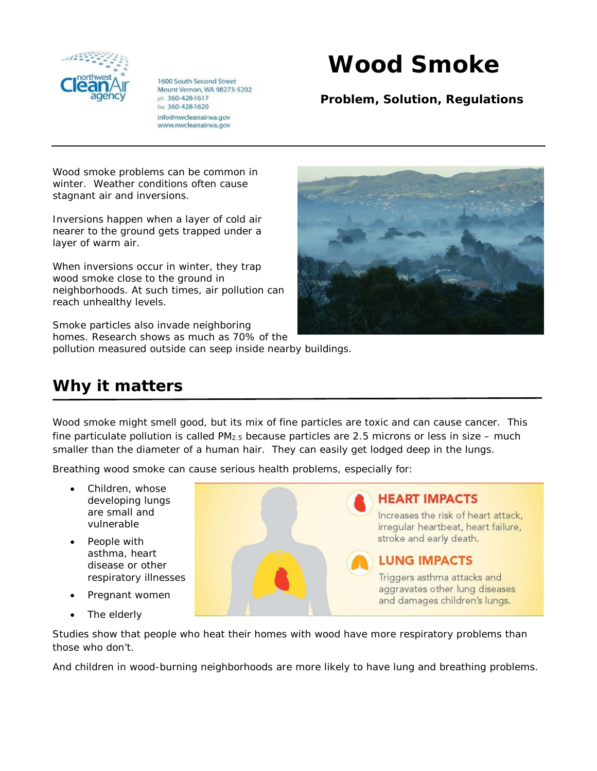

1600 South Second Street Mount Vernon, WA 98273-5202 ph 360-428-1617 fax 360-428-1620 info@nwcleanairwa.gov www.nwcleanairwa.gov

## **Wood Smoke**

**Problem, Solution, Regulations**

Wood smoke problems can be common in winter. Weather conditions often cause stagnant air and inversions.

Inversions happen when a layer of cold air nearer to the ground gets trapped under a layer of warm air.

When inversions occur in winter, they trap wood smoke close to the ground in neighborhoods. At such times, air pollution can reach unhealthy levels.

Smoke particles also invade neighboring homes. Research shows as much as 70% of the pollution measured outside can seep inside nearby buildings.

## **Why it matters**

Wood smoke might smell good, but its mix of fine particles are toxic and can cause cancer. This fine particulate pollution is called  $PM_{2.5}$  because particles are 2.5 microns or less in size – much smaller than the diameter of a human hair. They can easily get lodged deep in the lungs.

Breathing wood smoke can cause serious health problems, especially for:

- Children, whose developing lungs are small and vulnerable
- People with asthma, heart disease or other
- Pregnant women
- The elderly

**HEART IMPACTS** Increases the risk of heart attack, irregular heartbeat, heart failure, stroke and early death. **LUNG IMPACTS** respiratory illnesses Triggers asthma attacks and aggravates other lung diseases and damages children's lungs.

Studies show that people who heat their homes with wood have more respiratory problems than those who don't.

And children in wood-burning neighborhoods are more likely to have lung and breathing problems.